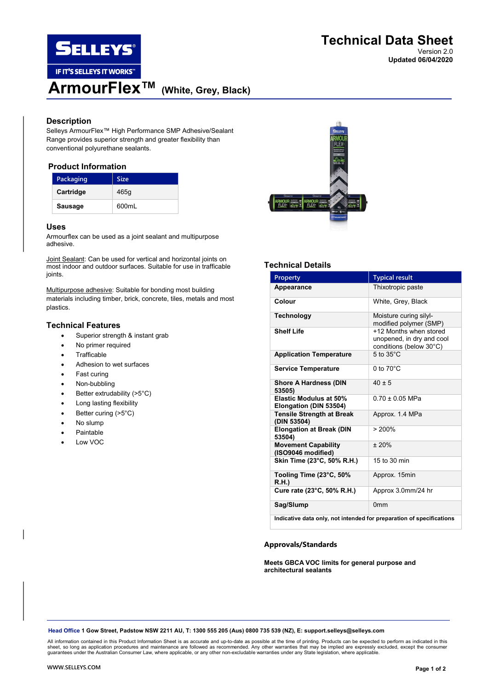

Version 2.0 Updated 06/04/2020

# Description

Selleys ArmourFlex™ High Performance SMP Adhesive/Sealant Range provides superior strength and greater flexibility than conventional polyurethane sealants.

# Product Information

| Packaging      | <b>Size</b> |
|----------------|-------------|
| Cartridge      | 465q        |
| <b>Sausage</b> | 600ml       |

### Uses

Armourflex can be used as a joint sealant and multipurpose adhesive.

Joint Sealant: Can be used for vertical and horizontal joints on most indoor and outdoor surfaces. Suitable for use in trafficable joints.

Multipurpose adhesive: Suitable for bonding most building materials including timber, brick, concrete, tiles, metals and most plastics.

# Technical Features

- Superior strength & instant grab
- No primer required
- **Trafficable**
- Adhesion to wet surfaces
- Fast curing
- Non-bubbling
- Better extrudability (>5°C)
- Long lasting flexibility
- Better curing (>5°C)
- No slump
- Paintable
- Low VOC



# Technical Details

| Property                                                             | <b>Typical result</b>                                                          |  |
|----------------------------------------------------------------------|--------------------------------------------------------------------------------|--|
| Appearance                                                           | Thixotropic paste                                                              |  |
| Colour                                                               | White, Grey, Black                                                             |  |
| <b>Technology</b>                                                    | Moisture curing silyl-<br>modified polymer (SMP)                               |  |
| <b>Shelf Life</b>                                                    | +12 Months when stored<br>unopened, in dry and cool<br>conditions (below 30°C) |  |
| <b>Application Temperature</b>                                       | $5$ to $35^{\circ}$ C                                                          |  |
| <b>Service Temperature</b>                                           | $0$ to $70^{\circ}$ C                                                          |  |
| <b>Shore A Hardness (DIN</b><br>53505)                               | $40 + 5$                                                                       |  |
| <b>Elastic Modulus at 50%</b><br>Elongation (DIN 53504)              | $0.70 + 0.05$ MPa                                                              |  |
| <b>Tensile Strength at Break</b><br>(DIN 53504)                      | Approx. 1.4 MPa                                                                |  |
| <b>Elongation at Break (DIN</b><br>53504)                            | > 200%                                                                         |  |
| <b>Movement Capability</b><br>(ISO9046 modified)                     | $+20%$                                                                         |  |
| Skin Time (23°C, 50% R.H.)                                           | 15 to 30 min                                                                   |  |
| Tooling Time (23°C, 50%<br>R.H.                                      | Approx. 15min                                                                  |  |
| Cure rate (23°C, 50% R.H.)                                           | Approx 3.0mm/24 hr                                                             |  |
| Sag/Slump                                                            | 0 <sub>mm</sub>                                                                |  |
| Indicative data only, not intended for preparation of specifications |                                                                                |  |

### Approvals/Standards

### Meets GBCA VOC limits for general purpose and architectural sealants

Head Office 1 Gow Street, Padstow NSW 2211 AU, T: 1300 555 205 (Aus) 0800 735 539 (NZ), E: support.selleys@selleys.com

All information contained in this Product Information Sheet is as accurate and up-to-date as possible at the time of printing. Products can be expected to perform as indicated in this<br>sheet, so long as application procedur